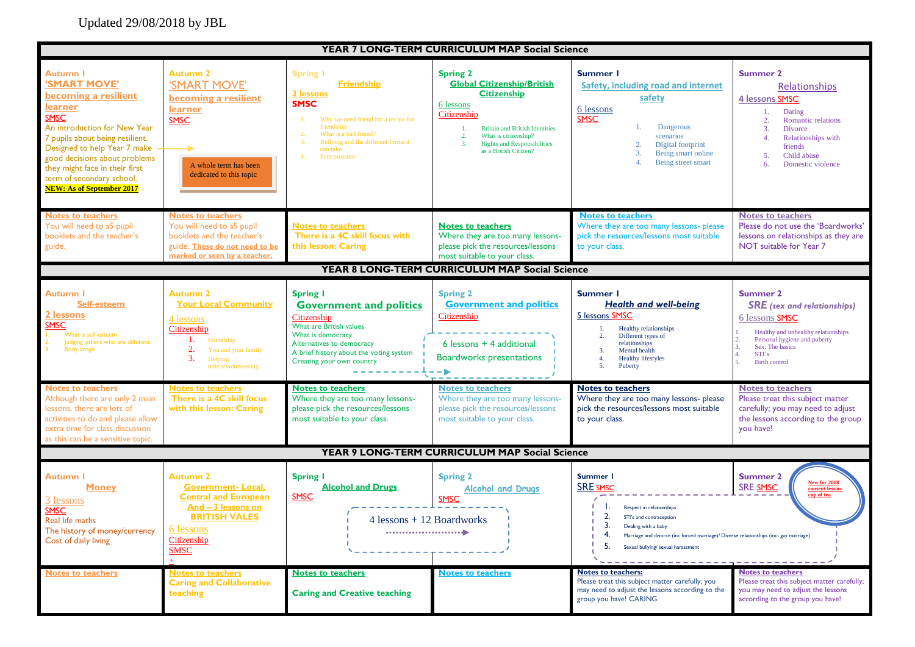## Updated 29/08/2018 by JBL

| YEAR 7 LONG-TERM CURRICULUM MAP Social Science                                                                                                                                                                                                                                                                           |                                                                                                                                                                                                                                                    |                                                                                                                                                                                                                                                                                                                                                            |                                                                                                                                                                                                                                                                                                  |                                                                                                                                                                                                                                                                                                                                                                      |                                                                                                                                                                                                                                                                                                                                                                   |  |  |
|--------------------------------------------------------------------------------------------------------------------------------------------------------------------------------------------------------------------------------------------------------------------------------------------------------------------------|----------------------------------------------------------------------------------------------------------------------------------------------------------------------------------------------------------------------------------------------------|------------------------------------------------------------------------------------------------------------------------------------------------------------------------------------------------------------------------------------------------------------------------------------------------------------------------------------------------------------|--------------------------------------------------------------------------------------------------------------------------------------------------------------------------------------------------------------------------------------------------------------------------------------------------|----------------------------------------------------------------------------------------------------------------------------------------------------------------------------------------------------------------------------------------------------------------------------------------------------------------------------------------------------------------------|-------------------------------------------------------------------------------------------------------------------------------------------------------------------------------------------------------------------------------------------------------------------------------------------------------------------------------------------------------------------|--|--|
| Autumn I<br>'SMART MOVE'<br>becoming a resilient<br><u>learner</u><br><b>SMSC</b><br>An introduction for New Year<br>7 pupils about being resilient.<br>Designed to help Year 7 make<br>good decisions about problems<br>they might face in their first<br>term of secondary school.<br><b>NEW: As of September 2017</b> | <b>Autumn 2</b><br>'SMART MOVE'<br>becoming a resilient<br>learner<br><b>SMSC</b><br>A whole term has been<br>dedicated to this topic                                                                                                              | <b>Spring I</b><br><b>Friendship</b><br>3 lessons<br><b>SMSC</b><br>Why we need friend inc a recipe for<br>friendship<br>What is a bad friend?<br>Bullying and the different forms it<br>can take<br>Peer pressure                                                                                                                                         | <b>Spring 2</b><br><b>Global Citizenship/British</b><br><b>Citizenship</b><br>6 lessons<br>Citizenship<br><b>Britain and British Identities</b><br>1.<br>What is citizenship?<br>2.<br>3.<br><b>Rights and Responsibilities</b><br>as a British Citizen?                                         | Summer I<br>Safety, including road and internet<br>safety<br>6 lessons<br><b>SMSC</b><br>Dangerous<br>1.<br>scenarios<br>Digital footprint<br>2.<br>3.<br>Being smart online<br>Being street smart                                                                                                                                                                   | <b>Summer 2</b><br>Relationships<br>4 lessons SMSC<br>Dating<br>1.<br>Romantic relations<br>2.<br>3.<br>Divorce<br>4.<br>Relationships with<br>friends<br>Child abuse<br>5.<br>6.<br>Domestic violence                                                                                                                                                            |  |  |
| <b>Notes to teachers</b><br>You will need to a5 pupil<br>booklets and the teacher's<br>guide.                                                                                                                                                                                                                            | <b>Notes to teachers</b><br>You will need to a5 pupil<br>booklets and the teacher's<br>guide. These do not need to be<br>marked or seen by a teacher.                                                                                              | <b>Notes to teachers</b><br>There is a 4C skill focus with<br>this lesson: Caring                                                                                                                                                                                                                                                                          | <b>Notes to teachers</b><br>Where they are too many lessons-<br>please pick the resources/lessons<br>most suitable to your class.                                                                                                                                                                | <b>Notes to teachers</b><br>Where they are too many lessons- please<br>pick the resources/lessons most suitable<br>to your class.                                                                                                                                                                                                                                    | <b>Notes to teachers</b><br>Please do not use the 'Boardworks'<br>lessons on relationships as they are<br>NOT suitable for Year 7                                                                                                                                                                                                                                 |  |  |
|                                                                                                                                                                                                                                                                                                                          |                                                                                                                                                                                                                                                    |                                                                                                                                                                                                                                                                                                                                                            | YEAR 8 LONG-TERM CURRICULUM MAP Social Science                                                                                                                                                                                                                                                   |                                                                                                                                                                                                                                                                                                                                                                      |                                                                                                                                                                                                                                                                                                                                                                   |  |  |
| <b>Autumn I</b><br><b>Self-esteem</b><br>2 lessons<br><b>SMSC</b><br>What is self-esteem<br>Judging others who are different<br><b>Body image</b><br><b>Notes to teachers</b><br>Although there are only 2 main<br>lessons, there are lots of<br>activities to do and please allow<br>extra time for class discussion    | <b>Autumn 2</b><br><b>Your Local Community</b><br>4 lessons<br>Citizenship<br>Friendship<br>2.<br>You and your family<br>3.<br>Helping<br>others/volunteering<br><b>Notes to teachers</b><br>There is a 4C skill focus<br>with this lesson: Caring | <b>Spring I</b><br><b>Government and politics</b><br>Citizenship<br>What are British values<br>What is democracy<br>Alternatives to democracy<br>A brief history about the voting system<br>Creating your own country<br><b>Notes to teachers</b><br>Where they are too many lessons-<br>please pick the resources/lessons<br>most suitable to your class. | <b>Spring 2</b><br><b>Government and politics</b><br>Citizenship<br>$6$ lessons + 4 additional<br><b>Boardworks presentations</b><br>$ \blacktriangleright$<br><b>Notes to teachers</b><br>Where they are too many lessons-<br>please pick the resources/lessons<br>most suitable to your class. | Summer I<br><b>Health and well-being</b><br>5 lessons SMSC<br>Healthy relationships<br>1.<br>Different types of<br>2.<br>relationships<br>$\overline{3}$ .<br>Mental health<br>4.<br><b>Healthy lifestyles</b><br>5.<br>Puberty<br><b>Notes to teachers</b><br>Where they are too many lessons- please<br>pick the resources/lessons most suitable<br>to your class. | <b>Summer 2</b><br><b>SRE</b> (sex and relationships)<br>6 lessons SMSC<br>Healthy and unhealthy relationships<br>Personal hygiene and puberty<br>Sex: The basics<br><b>STI's</b><br><b>Birth control</b><br><b>Notes to teachers</b><br>Please treat this subject matter<br>carefully; you may need to adjust<br>the lessons according to the group<br>you have! |  |  |
| as this can be a sensitive topic.<br>YEAR 9 LONG-TERM CURRICULUM MAP Social Science                                                                                                                                                                                                                                      |                                                                                                                                                                                                                                                    |                                                                                                                                                                                                                                                                                                                                                            |                                                                                                                                                                                                                                                                                                  |                                                                                                                                                                                                                                                                                                                                                                      |                                                                                                                                                                                                                                                                                                                                                                   |  |  |
| <b>Autumn I</b><br><b>Money</b><br>3 lessons<br><b>SMSC</b><br>Real life maths<br>The history of money/currency<br>Cost of daily living<br><b>Notes to teachers</b>                                                                                                                                                      | <b>Autumn 2</b><br><b>Government-Local,</b><br><b>Central and European</b><br>And - 3 lessons on<br><b>BRITISH VALES</b><br><u>6 lessons</u><br>Citizenship<br><b>SMSC</b><br><b>Notes to teachers</b><br><b>Caring and Collaborative</b>          | <b>Spring I</b><br><b>Alcohol and Drugs</b><br><b>SMSC</b><br>$4$ lessons + 12 Boardworks<br><b>Notes to teachers</b>                                                                                                                                                                                                                                      | <b>Spring 2</b><br><b>Alcohol and Drugs</b><br><b>SMSC</b><br><b>Notes to teachers</b>                                                                                                                                                                                                           | Summer I<br><b>SRE SMSC</b><br>Respect in relationships<br>2.<br>STI's and contraception<br>Dealing with a baby<br>4.<br>Marriage and divorce (inc forced marriage)/ Diverse relationships (inc- gay marriage)<br>5.<br>Sexual bullying/ sexual harassment<br><b>Notes to teachers:</b><br>Please treat this subject matter carefully; you                           | <b>Summer 2</b><br><b>New for 2018</b><br>SRE SMSC<br>consent lesson-<br>cup of tea<br><b>Notes to teachers</b><br>Please treat this subject matter carefully;                                                                                                                                                                                                    |  |  |
|                                                                                                                                                                                                                                                                                                                          | teaching                                                                                                                                                                                                                                           | <b>Caring and Creative teaching</b>                                                                                                                                                                                                                                                                                                                        |                                                                                                                                                                                                                                                                                                  | may need to adjust the lessons according to the<br>group you have! CARING                                                                                                                                                                                                                                                                                            | you may need to adjust the lessons<br>according to the group you have!                                                                                                                                                                                                                                                                                            |  |  |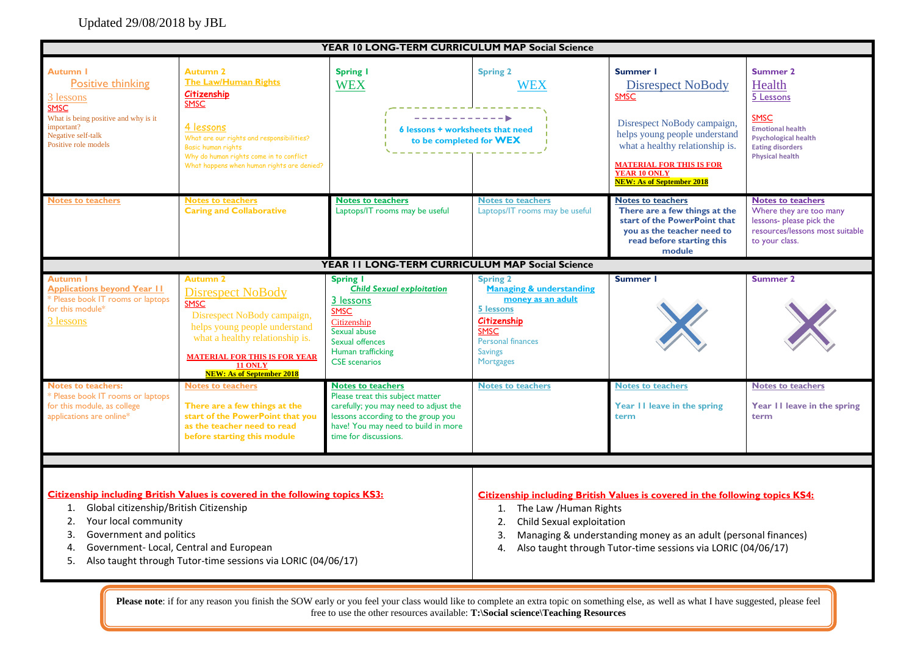## Updated 29/08/2018 by JBL

| YEAR 10 LONG-TERM CURRICULUM MAP Social Science                                                                                                                             |                                                                                                                                                                                                                                                             |                                                                                                                                                                                                             |                                                                                                                                                                            |                                                                                                                                                                                                                                                      |                                                                                                                                                               |  |
|-----------------------------------------------------------------------------------------------------------------------------------------------------------------------------|-------------------------------------------------------------------------------------------------------------------------------------------------------------------------------------------------------------------------------------------------------------|-------------------------------------------------------------------------------------------------------------------------------------------------------------------------------------------------------------|----------------------------------------------------------------------------------------------------------------------------------------------------------------------------|------------------------------------------------------------------------------------------------------------------------------------------------------------------------------------------------------------------------------------------------------|---------------------------------------------------------------------------------------------------------------------------------------------------------------|--|
| <b>Autumn I</b><br><b>Positive thinking</b><br>3 lessons<br><b>SMSC</b><br>What is being positive and why is it<br>important?<br>Negative self-talk<br>Positive role models | <b>Autumn 2</b><br>The Law/Human Rights<br>Citizenship<br><b>SMSC</b><br>4 lessons<br>What are our rights and responsibilities?<br>Basic human rights<br>Why do human rights come in to conflict<br>What happens when human rights are denied?              | <b>Spring I</b><br><b>WEX</b><br>----------- <b>-</b><br>6 lessons + worksheets that need<br>to be completed for WEX                                                                                        | <b>Spring 2</b><br><b>WEX</b>                                                                                                                                              | Summer I<br><b>Disrespect NoBody</b><br><b>SMSC</b><br>Disrespect NoBody campaign,<br>helps young people understand<br>what a healthy relationship is.<br><b>MATERIAL FOR THIS IS FOR</b><br><b>YEAR 10 ONLY</b><br><b>NEW: As of September 2018</b> | Summer 2<br>Health<br>5 Lessons<br><b>SMSC</b><br><b>Emotional health</b><br><b>Psychological health</b><br><b>Eating disorders</b><br><b>Physical health</b> |  |
| <b>Notes to teachers</b>                                                                                                                                                    | <b>Notes to teachers</b><br><b>Caring and Collaborative</b>                                                                                                                                                                                                 | <b>Notes to teachers</b><br>Laptops/IT rooms may be useful                                                                                                                                                  | <b>Notes to teachers</b><br>Laptops/IT rooms may be useful                                                                                                                 | <b>Notes to teachers</b><br>There are a few things at the<br>start of the PowerPoint that<br>you as the teacher need to<br>read before starting this<br>module                                                                                       | <b>Notes to teachers</b><br>Where they are too many<br>lessons- please pick the<br>resources/lessons most suitable<br>to your class.                          |  |
|                                                                                                                                                                             |                                                                                                                                                                                                                                                             | YEAR II LONG-TERM CURRICULUM MAP Social Science                                                                                                                                                             |                                                                                                                                                                            |                                                                                                                                                                                                                                                      |                                                                                                                                                               |  |
| Autumn I<br><b>Applications beyond Year II</b><br>* Please book IT rooms or laptops<br>for this module*<br>3 lessons                                                        | <b>Autumn 2</b><br><b>Disrespect NoBody</b><br><b>SMSC</b><br>Disrespect NoBody campaign,<br>helps young people understand<br>what a healthy relationship is.<br><b>MATERIAL FOR THIS IS FOR YEAR</b><br><b>11 ONLY</b><br><b>NEW: As of September 2018</b> | <b>Spring I</b><br><b>Child Sexual exploitation</b><br>3 lessons<br><b>SMSC</b><br>Citizenship<br>Sexual abuse<br>Sexual offences<br>Human trafficking<br><b>CSE</b> scenarios                              | <b>Spring 2</b><br><b>Managing &amp; understanding</b><br>money as an adult<br>5 lessons<br>Citizenship<br><b>SMSC</b><br>Personal finances<br><b>Savings</b><br>Mortgages | Summer I                                                                                                                                                                                                                                             | Summer 2                                                                                                                                                      |  |
| <b>Notes to teachers:</b><br>* Please book IT rooms or laptops<br>for this module, as college<br>applications are online*                                                   | <b>Notes to teachers</b><br>There are a few things at the<br>start of the PowerPoint that you<br>as the teacher need to read<br>before starting this module                                                                                                 | <b>Notes to teachers</b><br>Please treat this subject matter<br>carefully; you may need to adjust the<br>lessons according to the group you<br>have! You may need to build in more<br>time for discussions. | <b>Notes to teachers</b>                                                                                                                                                   | <b>Notes to teachers</b><br>Year II leave in the spring<br>term                                                                                                                                                                                      | <b>Notes to teachers</b><br>Year 11 leave in the spring<br>term                                                                                               |  |
| Global citizenship/British Citizenship<br>1.<br>Your local community<br>2.<br>Government and politics<br>3.<br>4.<br>5.                                                     | <b>Citizenship including British Values is covered in the following topics KS3:</b><br>Government- Local, Central and European<br>Also taught through Tutor-time sessions via LORIC (04/06/17)                                                              |                                                                                                                                                                                                             | 1. The Law / Human Rights<br>2.<br>Child Sexual exploitation<br>3.<br>4.                                                                                                   | <b>Citizenship including British Values is covered in the following topics KS4:</b><br>Managing & understanding money as an adult (personal finances)<br>Also taught through Tutor-time sessions via LORIC (04/06/17)                                |                                                                                                                                                               |  |

Please note: if for any reason you finish the SOW early or you feel your class would like to complete an extra topic on something else, as well as what I have suggested, please feel free to use the other resources available: **T:\Social science\Teaching Resources**